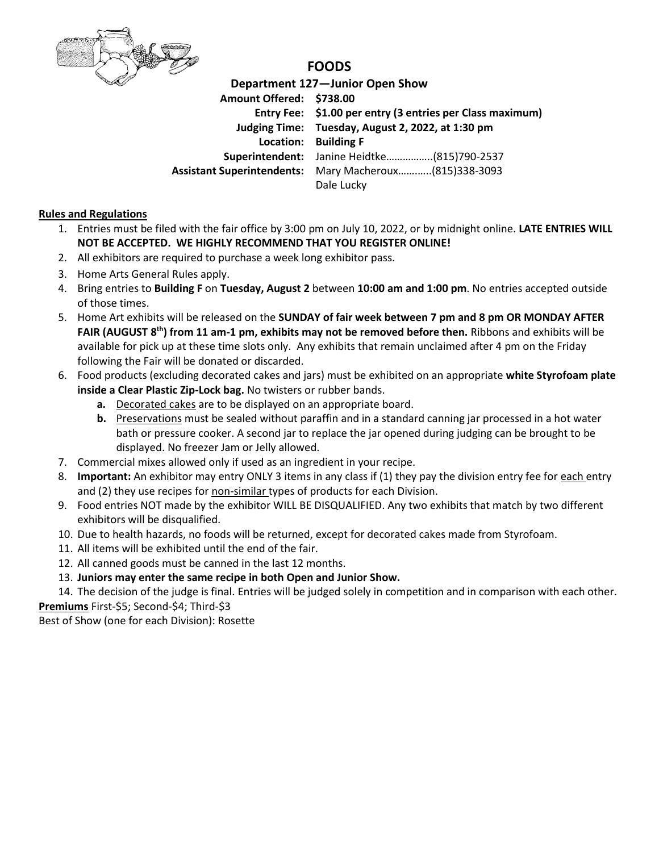

## **FOODS**

**Department 127—Junior Open Show Amount Offered: \$738.00 Entry Fee: \$1.00 per entry (3 entries per Class maximum) Judging Time: Tuesday, August 2, 2022, at 1:30 pm Location: Building F Superintendent:** Janine Heidtke……………..(815)790-2537 **Assistant Superintendents:** Mary Macheroux…….…..(815)338-3093 Dale Lucky

## **Rules and Regulations**

- 1. Entries must be filed with the fair office by 3:00 pm on July 10, 2022, or by midnight online. **LATE ENTRIES WILL NOT BE ACCEPTED. WE HIGHLY RECOMMEND THAT YOU REGISTER ONLINE!**
- 2. All exhibitors are required to purchase a week long exhibitor pass.
- 3. Home Arts General Rules apply.
- 4. Bring entries to **Building F** on **Tuesday, August 2** between **10:00 am and 1:00 pm**. No entries accepted outside of those times.
- 5. Home Art exhibits will be released on the **SUNDAY of fair week between 7 pm and 8 pm OR MONDAY AFTER FAIR (AUGUST 8 th) from 11 am-1 pm, exhibits may not be removed before then.** Ribbons and exhibits will be available for pick up at these time slots only. Any exhibits that remain unclaimed after 4 pm on the Friday following the Fair will be donated or discarded.
- 6. Food products (excluding decorated cakes and jars) must be exhibited on an appropriate **white Styrofoam plate inside a Clear Plastic Zip-Lock bag.** No twisters or rubber bands.
	- **a.** Decorated cakes are to be displayed on an appropriate board.
	- **b.** Preservations must be sealed without paraffin and in a standard canning jar processed in a hot water bath or pressure cooker. A second jar to replace the jar opened during judging can be brought to be displayed. No freezer Jam or Jelly allowed.
- 7. Commercial mixes allowed only if used as an ingredient in your recipe.
- 8. **Important:** An exhibitor may entry ONLY 3 items in any class if (1) they pay the division entry fee for each entry and (2) they use recipes for non-similar types of products for each Division.
- 9. Food entries NOT made by the exhibitor WILL BE DISQUALIFIED. Any two exhibits that match by two different exhibitors will be disqualified.
- 10. Due to health hazards, no foods will be returned, except for decorated cakes made from Styrofoam.
- 11. All items will be exhibited until the end of the fair.
- 12. All canned goods must be canned in the last 12 months.
- 13. **Juniors may enter the same recipe in both Open and Junior Show.**

14. The decision of the judge is final. Entries will be judged solely in competition and in comparison with each other. **Premiums** First-\$5; Second-\$4; Third-\$3

Best of Show (one for each Division): Rosette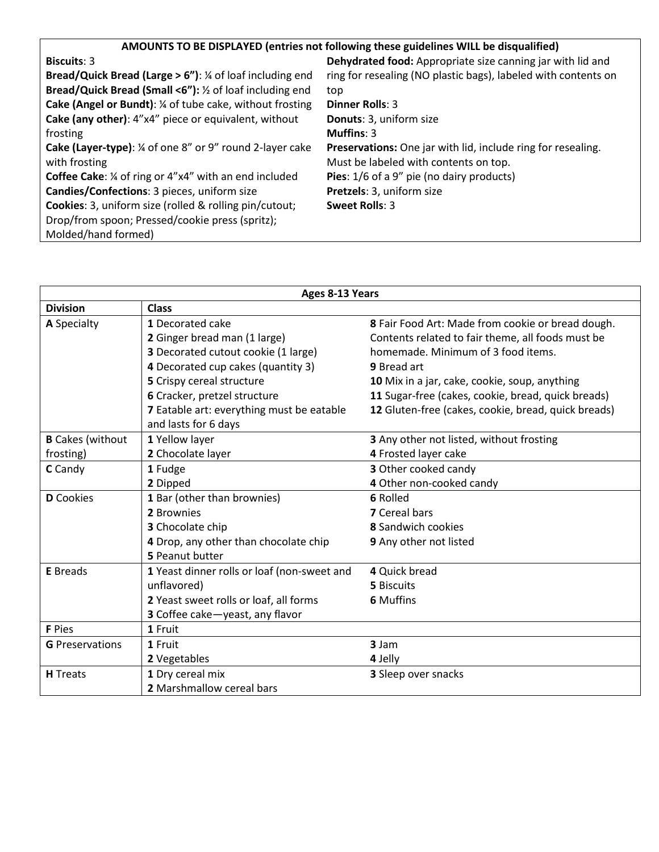| AMOUNTS TO BE DISPLAYED (entries not following these guidelines WILL be disqualified) |  |  |  |  |  |  |
|---------------------------------------------------------------------------------------|--|--|--|--|--|--|
|                                                                                       |  |  |  |  |  |  |

| <b>Biscuits: 3</b>                                                            | Dehydrated food: Appropriate size canning jar with lid and     |
|-------------------------------------------------------------------------------|----------------------------------------------------------------|
| <b>Bread/Quick Bread (Large &gt; 6"):</b> $\frac{1}{4}$ of loaf including end | ring for resealing (NO plastic bags), labeled with contents on |
| Bread/Quick Bread (Small <6"): 1/2 of loaf including end                      | top                                                            |
| Cake (Angel or Bundt): 1/4 of tube cake, without frosting                     | <b>Dinner Rolls: 3</b>                                         |
| Cake (any other): 4"x4" piece or equivalent, without                          | Donuts: 3, uniform size                                        |
| frosting                                                                      | Muffins: $3$                                                   |
| <b>Cake (Layer-type):</b> ¼ of one 8" or 9" round 2-layer cake                | Preservations: One jar with lid, include ring for resealing.   |
| with frosting                                                                 | Must be labeled with contents on top.                          |
| <b>Coffee Cake:</b> $\frac{1}{4}$ of ring or 4"x4" with an end included       | Pies: 1/6 of a 9" pie (no dairy products)                      |
| Candies/Confections: 3 pieces, uniform size                                   | Pretzels: 3, uniform size                                      |
| <b>Cookies:</b> 3, uniform size (rolled & rolling pin/cutout;                 | Sweet Rolls: 3                                                 |
| Drop/from spoon; Pressed/cookie press (spritz);                               |                                                                |
| Molded/hand formed)                                                           |                                                                |

| Ages 8-13 Years         |                                             |                                                     |  |  |  |
|-------------------------|---------------------------------------------|-----------------------------------------------------|--|--|--|
| <b>Division</b>         | <b>Class</b>                                |                                                     |  |  |  |
| A Specialty             | 1 Decorated cake                            | 8 Fair Food Art: Made from cookie or bread dough.   |  |  |  |
|                         | 2 Ginger bread man (1 large)                | Contents related to fair theme, all foods must be   |  |  |  |
|                         | 3 Decorated cutout cookie (1 large)         | homemade. Minimum of 3 food items.                  |  |  |  |
|                         | 4 Decorated cup cakes (quantity 3)          | 9 Bread art                                         |  |  |  |
|                         | 5 Crispy cereal structure                   | 10 Mix in a jar, cake, cookie, soup, anything       |  |  |  |
|                         | 6 Cracker, pretzel structure                | 11 Sugar-free (cakes, cookie, bread, quick breads)  |  |  |  |
|                         | 7 Eatable art: everything must be eatable   | 12 Gluten-free (cakes, cookie, bread, quick breads) |  |  |  |
|                         | and lasts for 6 days                        |                                                     |  |  |  |
| <b>B</b> Cakes (without | 1 Yellow layer                              | 3 Any other not listed, without frosting            |  |  |  |
| frosting)               | 2 Chocolate layer                           | 4 Frosted layer cake                                |  |  |  |
| C Candy                 | 1 Fudge                                     | 3 Other cooked candy                                |  |  |  |
|                         | 2 Dipped                                    | 4 Other non-cooked candy                            |  |  |  |
| <b>D</b> Cookies        | 1 Bar (other than brownies)                 | 6 Rolled                                            |  |  |  |
|                         | 2 Brownies                                  | <b>7</b> Cereal bars                                |  |  |  |
|                         | 3 Chocolate chip                            | <b>8</b> Sandwich cookies                           |  |  |  |
|                         | 4 Drop, any other than chocolate chip       | 9 Any other not listed                              |  |  |  |
|                         | 5 Peanut butter                             |                                                     |  |  |  |
| <b>E</b> Breads         | 1 Yeast dinner rolls or loaf (non-sweet and | 4 Quick bread                                       |  |  |  |
|                         | unflavored)                                 | 5 Biscuits                                          |  |  |  |
|                         | 2 Yeast sweet rolls or loaf, all forms      | <b>6 Muffins</b>                                    |  |  |  |
|                         | 3 Coffee cake-yeast, any flavor             |                                                     |  |  |  |
| <b>F</b> Pies           | 1 Fruit                                     |                                                     |  |  |  |
| <b>G</b> Preservations  | 1 Fruit                                     | 3 Jam                                               |  |  |  |
|                         | 2 Vegetables                                | 4 Jelly                                             |  |  |  |
| <b>H</b> Treats         | 1 Dry cereal mix                            | 3 Sleep over snacks                                 |  |  |  |
|                         | 2 Marshmallow cereal bars                   |                                                     |  |  |  |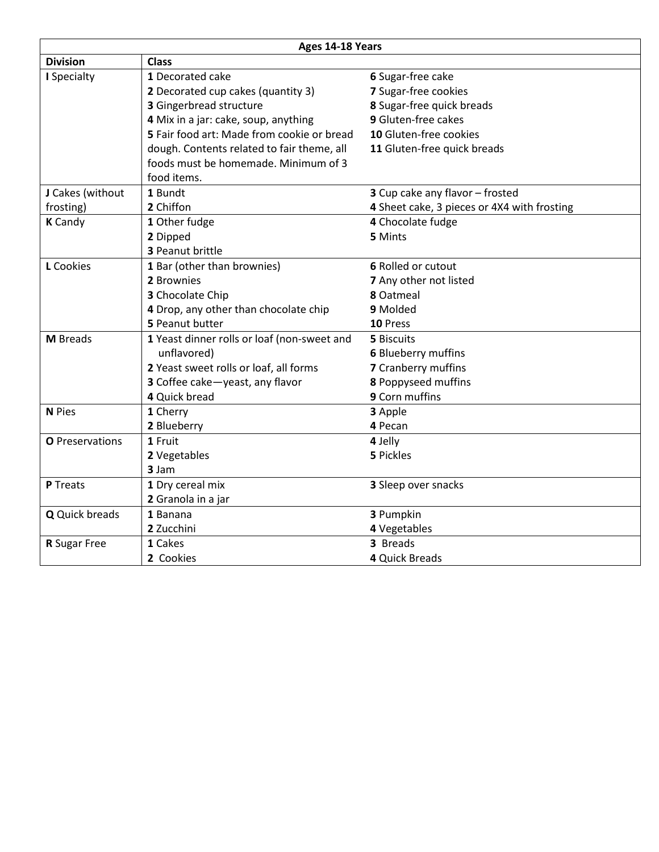| Ages 14-18 Years |                                             |                                             |  |  |  |
|------------------|---------------------------------------------|---------------------------------------------|--|--|--|
| <b>Division</b>  | <b>Class</b>                                |                                             |  |  |  |
| I Specialty      | 1 Decorated cake                            | 6 Sugar-free cake                           |  |  |  |
|                  | 2 Decorated cup cakes (quantity 3)          | 7 Sugar-free cookies                        |  |  |  |
|                  | 3 Gingerbread structure                     | 8 Sugar-free quick breads                   |  |  |  |
|                  | 4 Mix in a jar: cake, soup, anything        | 9 Gluten-free cakes                         |  |  |  |
|                  | 5 Fair food art: Made from cookie or bread  | 10 Gluten-free cookies                      |  |  |  |
|                  | dough. Contents related to fair theme, all  | 11 Gluten-free quick breads                 |  |  |  |
|                  | foods must be homemade. Minimum of 3        |                                             |  |  |  |
|                  | food items.                                 |                                             |  |  |  |
| J Cakes (without | 1 Bundt                                     | 3 Cup cake any flavor - frosted             |  |  |  |
| frosting)        | 2 Chiffon                                   | 4 Sheet cake, 3 pieces or 4X4 with frosting |  |  |  |
| <b>K</b> Candy   | 1 Other fudge                               | 4 Chocolate fudge                           |  |  |  |
|                  | 2 Dipped                                    | 5 Mints                                     |  |  |  |
|                  | 3 Peanut brittle                            |                                             |  |  |  |
| L Cookies        | 1 Bar (other than brownies)                 | 6 Rolled or cutout                          |  |  |  |
|                  | 2 Brownies                                  | 7 Any other not listed                      |  |  |  |
|                  | 3 Chocolate Chip                            | 8 Oatmeal                                   |  |  |  |
|                  | 4 Drop, any other than chocolate chip       | 9 Molded                                    |  |  |  |
|                  | 5 Peanut butter                             | 10 Press                                    |  |  |  |
| <b>M</b> Breads  | 1 Yeast dinner rolls or loaf (non-sweet and | 5 Biscuits                                  |  |  |  |
|                  | unflavored)                                 | 6 Blueberry muffins                         |  |  |  |
|                  | 2 Yeast sweet rolls or loaf, all forms      | 7 Cranberry muffins                         |  |  |  |
|                  | 3 Coffee cake-yeast, any flavor             | 8 Poppyseed muffins                         |  |  |  |
|                  | 4 Quick bread                               | 9 Corn muffins                              |  |  |  |
| N Pies           | 1 Cherry                                    | 3 Apple                                     |  |  |  |
|                  | 2 Blueberry                                 | 4 Pecan                                     |  |  |  |
| O Preservations  | 1 Fruit                                     | 4 Jelly                                     |  |  |  |
|                  | 2 Vegetables                                | 5 Pickles                                   |  |  |  |
|                  | 3 Jam                                       |                                             |  |  |  |
| P Treats         | 1 Dry cereal mix                            | 3 Sleep over snacks                         |  |  |  |
|                  | 2 Granola in a jar                          |                                             |  |  |  |
| Q Quick breads   | 1 Banana                                    | 3 Pumpkin                                   |  |  |  |
|                  | 2 Zucchini                                  | 4 Vegetables                                |  |  |  |
| R Sugar Free     | 1 Cakes                                     | 3 Breads                                    |  |  |  |
|                  | 2 Cookies                                   | 4 Quick Breads                              |  |  |  |